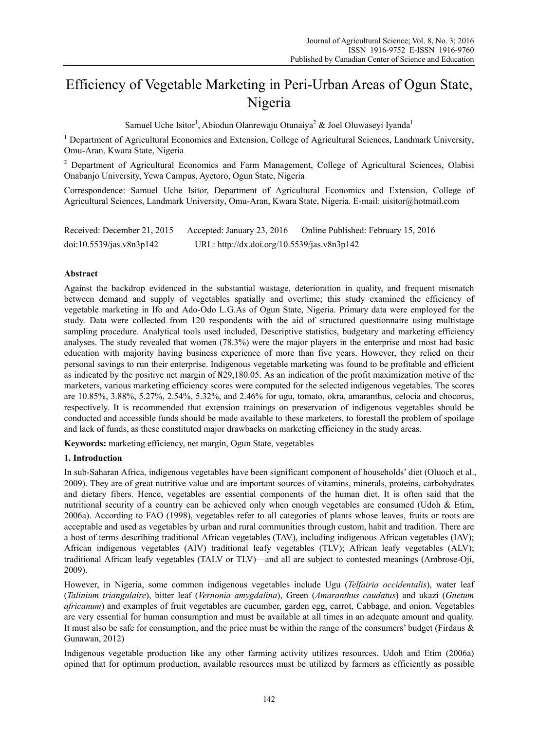# Efficiency of Vegetable Marketing in Peri-Urban Areas of Ogun State, Nigeria

Samuel Uche Isitor<sup>1</sup>, Abiodun Olanrewaju Otunaiya<sup>2</sup> & Joel Oluwaseyi Iyanda<sup>1</sup>

<sup>1</sup> Department of Agricultural Economics and Extension, College of Agricultural Sciences, Landmark University, Omu-Aran, Kwara State, Nigeria

<sup>2</sup> Department of Agricultural Economics and Farm Management, College of Agricultural Sciences, Olabisi Onabanjo University, Yewa Campus, Ayetoro, Ogun State, Nigeria

Correspondence: Samuel Uche Isitor, Department of Agricultural Economics and Extension, College of Agricultural Sciences, Landmark University, Omu-Aran, Kwara State, Nigeria. E-mail: uisitor@hotmail.com

Received: December 21, 2015 Accepted: January 23, 2016 Online Published: February 15, 2016 doi:10.5539/jas.v8n3p142 URL: http://dx.doi.org/10.5539/jas.v8n3p142

# **Abstract**

Against the backdrop evidenced in the substantial wastage, deterioration in quality, and frequent mismatch between demand and supply of vegetables spatially and overtime; this study examined the efficiency of vegetable marketing in Ifo and Ado-Odo L.G.As of Ogun State, Nigeria. Primary data were employed for the study. Data were collected from 120 respondents with the aid of structured questionnaire using multistage sampling procedure. Analytical tools used included, Descriptive statistics, budgetary and marketing efficiency analyses. The study revealed that women (78.3%) were the major players in the enterprise and most had basic education with majority having business experience of more than five years. However, they relied on their personal savings to run their enterprise. Indigenous vegetable marketing was found to be profitable and efficient as indicated by the positive net margin of ₦29,180.05. As an indication of the profit maximization motive of the marketers, various marketing efficiency scores were computed for the selected indigenous vegetables. The scores are 10.85%, 3.88%, 5.27%, 2.54%, 5.32%, and 2.46% for ugu, tomato, okra, amaranthus, celocia and chocorus, respectively. It is recommended that extension trainings on preservation of indigenous vegetables should be conducted and accessible funds should be made available to these marketers, to forestall the problem of spoilage and lack of funds, as these constituted major drawbacks on marketing efficiency in the study areas.

**Keywords:** marketing efficiency, net margin, Ogun State, vegetables

## **1. Introduction**

In sub-Saharan Africa, indigenous vegetables have been significant component of households' diet (Oluoch et al., 2009). They are of great nutritive value and are important sources of vitamins, minerals, proteins, carbohydrates and dietary fibers. Hence, vegetables are essential components of the human diet. It is often said that the nutritional security of a country can be achieved only when enough vegetables are consumed (Udoh & Etim, 2006a). According to FAO (1998), vegetables refer to all categories of plants whose leaves, fruits or roots are acceptable and used as vegetables by urban and rural communities through custom, habit and tradition. There are a host of terms describing traditional African vegetables (TAV), including indigenous African vegetables (IAV); African indigenous vegetables (AIV) traditional leafy vegetables (TLV); African leafy vegetables (ALV); traditional African leafy vegetables (TALV or TLV)—and all are subject to contested meanings (Ambrose-Oji, 2009).

However, in Nigeria, some common indigenous vegetables include Ugu (*Telfairia occidentalis*), water leaf (*Talinium triangulaire*), bitter leaf (*Vernonia amygdalina*), Green (*Amaranthus caudatus*) and ukazi (*Gnetum africanum*) and examples of fruit vegetables are cucumber, garden egg, carrot, Cabbage, and onion. Vegetables are very essential for human consumption and must be available at all times in an adequate amount and quality. It must also be safe for consumption, and the price must be within the range of the consumers' budget (Firdaus  $\&$ Gunawan, 2012)

Indigenous vegetable production like any other farming activity utilizes resources. Udoh and Etim (2006a) opined that for optimum production, available resources must be utilized by farmers as efficiently as possible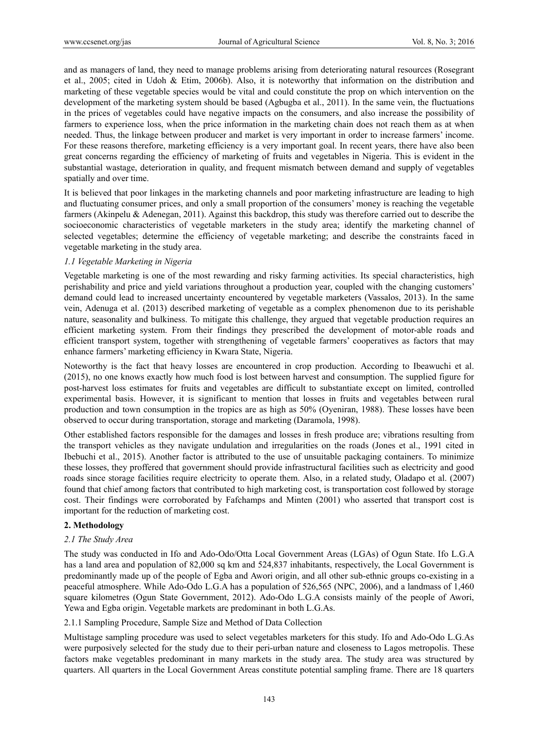and as managers of land, they need to manage problems arising from deteriorating natural resources (Rosegrant et al., 2005; cited in Udoh & Etim, 2006b). Also, it is noteworthy that information on the distribution and marketing of these vegetable species would be vital and could constitute the prop on which intervention on the development of the marketing system should be based (Agbugba et al., 2011). In the same vein, the fluctuations in the prices of vegetables could have negative impacts on the consumers, and also increase the possibility of farmers to experience loss, when the price information in the marketing chain does not reach them as at when needed. Thus, the linkage between producer and market is very important in order to increase farmers' income. For these reasons therefore, marketing efficiency is a very important goal. In recent years, there have also been great concerns regarding the efficiency of marketing of fruits and vegetables in Nigeria. This is evident in the substantial wastage, deterioration in quality, and frequent mismatch between demand and supply of vegetables spatially and over time.

It is believed that poor linkages in the marketing channels and poor marketing infrastructure are leading to high and fluctuating consumer prices, and only a small proportion of the consumers' money is reaching the vegetable farmers (Akinpelu & Adenegan, 2011). Against this backdrop, this study was therefore carried out to describe the socioeconomic characteristics of vegetable marketers in the study area; identify the marketing channel of selected vegetables; determine the efficiency of vegetable marketing; and describe the constraints faced in vegetable marketing in the study area.

# *1.1 Vegetable Marketing in Nigeria*

Vegetable marketing is one of the most rewarding and risky farming activities. Its special characteristics, high perishability and price and yield variations throughout a production year, coupled with the changing customers' demand could lead to increased uncertainty encountered by vegetable marketers (Vassalos, 2013). In the same vein, Adenuga et al. (2013) described marketing of vegetable as a complex phenomenon due to its perishable nature, seasonality and bulkiness. To mitigate this challenge, they argued that vegetable production requires an efficient marketing system. From their findings they prescribed the development of motor-able roads and efficient transport system, together with strengthening of vegetable farmers' cooperatives as factors that may enhance farmers' marketing efficiency in Kwara State, Nigeria.

Noteworthy is the fact that heavy losses are encountered in crop production. According to Ibeawuchi et al. (2015), no one knows exactly how much food is lost between harvest and consumption. The supplied figure for post-harvest loss estimates for fruits and vegetables are difficult to substantiate except on limited, controlled experimental basis. However, it is significant to mention that losses in fruits and vegetables between rural production and town consumption in the tropics are as high as 50% (Oyeniran, 1988). These losses have been observed to occur during transportation, storage and marketing (Daramola, 1998).

Other established factors responsible for the damages and losses in fresh produce are; vibrations resulting from the transport vehicles as they navigate undulation and irregularities on the roads (Jones et al., 1991 cited in Ibebuchi et al., 2015). Another factor is attributed to the use of unsuitable packaging containers. To minimize these losses, they proffered that government should provide infrastructural facilities such as electricity and good roads since storage facilities require electricity to operate them. Also, in a related study, Oladapo et al. (2007) found that chief among factors that contributed to high marketing cost, is transportation cost followed by storage cost. Their findings were corroborated by Fafchamps and Minten (2001) who asserted that transport cost is important for the reduction of marketing cost.

## **2. Methodology**

## *2.1 The Study Area*

The study was conducted in Ifo and Ado-Odo/Otta Local Government Areas (LGAs) of Ogun State. Ifo L.G.A has a land area and population of 82,000 sq km and 524,837 inhabitants, respectively, the Local Government is predominantly made up of the people of Egba and Awori origin, and all other sub-ethnic groups co-existing in a peaceful atmosphere. While Ado-Odo L.G.A has a population of 526,565 (NPC, 2006), and a landmass of 1,460 square kilometres (Ogun State Government, 2012). Ado-Odo L.G.A consists mainly of the people of Awori, Yewa and Egba origin. Vegetable markets are predominant in both L.G.As.

2.1.1 Sampling Procedure, Sample Size and Method of Data Collection

Multistage sampling procedure was used to select vegetables marketers for this study. Ifo and Ado-Odo L.G.As were purposively selected for the study due to their peri-urban nature and closeness to Lagos metropolis. These factors make vegetables predominant in many markets in the study area. The study area was structured by quarters. All quarters in the Local Government Areas constitute potential sampling frame. There are 18 quarters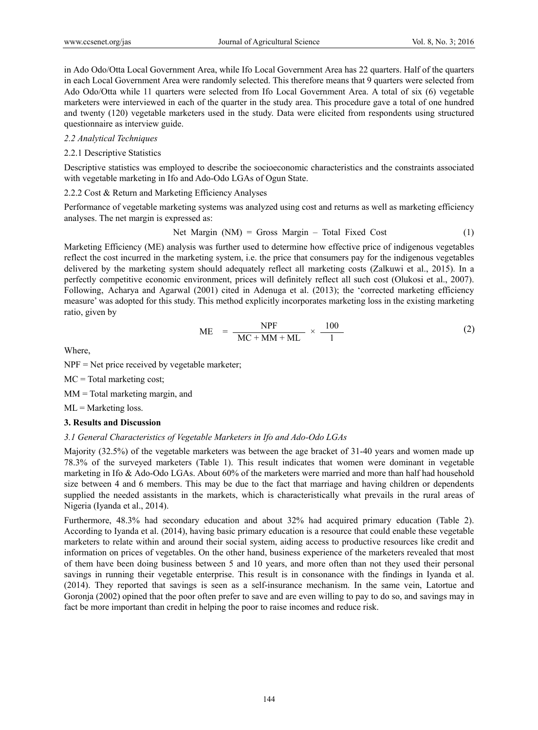in Ado Odo/Otta Local Government Area, while Ifo Local Government Area has 22 quarters. Half of the quarters in each Local Government Area were randomly selected. This therefore means that 9 quarters were selected from Ado Odo/Otta while 11 quarters were selected from Ifo Local Government Area. A total of six (6) vegetable marketers were interviewed in each of the quarter in the study area. This procedure gave a total of one hundred and twenty (120) vegetable marketers used in the study. Data were elicited from respondents using structured questionnaire as interview guide.

# *2.2 Analytical Techniques*

# 2.2.1 Descriptive Statistics

Descriptive statistics was employed to describe the socioeconomic characteristics and the constraints associated with vegetable marketing in Ifo and Ado-Odo LGAs of Ogun State.

# 2.2.2 Cost & Return and Marketing Efficiency Analyses

Performance of vegetable marketing systems was analyzed using cost and returns as well as marketing efficiency analyses. The net margin is expressed as:

$$
Net Margin (NM) = Gross Margin - Total Fixed Cost \tag{1}
$$

Marketing Efficiency (ME) analysis was further used to determine how effective price of indigenous vegetables reflect the cost incurred in the marketing system, i.e. the price that consumers pay for the indigenous vegetables delivered by the marketing system should adequately reflect all marketing costs (Zalkuwi et al., 2015). In a perfectly competitive economic environment, prices will definitely reflect all such cost (Olukosi et al., 2007). Following, Acharya and Agarwal (2001) cited in Adenuga et al. (2013); the 'corrected marketing efficiency measure' was adopted for this study. This method explicitly incorporates marketing loss in the existing marketing ratio, given by

$$
ME = \frac{NPF}{MC + MM + ML} \times \frac{100}{1}
$$
 (2)

Where,

NPF = Net price received by vegetable marketer;

 $MC = Total$  marketing cost;

MM = Total marketing margin, and

 $ML =$ Marketing loss.

# **3. Results and Discussion**

# *3.1 General Characteristics of Vegetable Marketers in Ifo and Ado-Odo LGAs*

Majority (32.5%) of the vegetable marketers was between the age bracket of 31-40 years and women made up 78.3% of the surveyed marketers (Table 1). This result indicates that women were dominant in vegetable marketing in Ifo & Ado-Odo LGAs. About 60% of the marketers were married and more than half had household size between 4 and 6 members. This may be due to the fact that marriage and having children or dependents supplied the needed assistants in the markets, which is characteristically what prevails in the rural areas of Nigeria (Iyanda et al., 2014).

Furthermore, 48.3% had secondary education and about 32% had acquired primary education (Table 2). According to Iyanda et al. (2014), having basic primary education is a resource that could enable these vegetable marketers to relate within and around their social system, aiding access to productive resources like credit and information on prices of vegetables. On the other hand, business experience of the marketers revealed that most of them have been doing business between 5 and 10 years, and more often than not they used their personal savings in running their vegetable enterprise. This result is in consonance with the findings in Iyanda et al. (2014). They reported that savings is seen as a self-insurance mechanism. In the same vein, Latortue and Goronja (2002) opined that the poor often prefer to save and are even willing to pay to do so, and savings may in fact be more important than credit in helping the poor to raise incomes and reduce risk.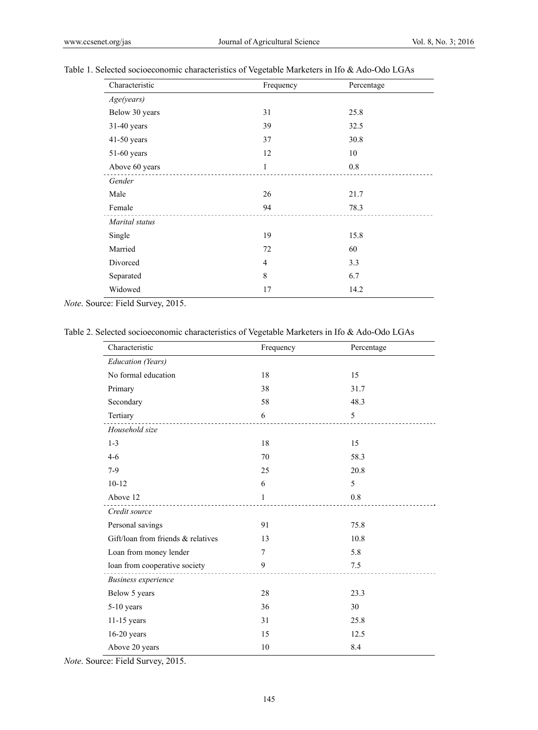## Table 1. Selected socioeconomic characteristics of Vegetable Marketers in Ifo & Ado-Odo LGAs

| Characteristic | Frequency | Percentage |
|----------------|-----------|------------|
| Age(years)     |           |            |
| Below 30 years | 31        | 25.8       |
| 31-40 years    | 39        | 32.5       |
| 41-50 years    | 37        | 30.8       |
| 51-60 years    | 12        | 10         |
| Above 60 years | 1         | 0.8        |
| Gender         |           |            |
| Male           | 26        | 21.7       |
| Female         | 94        | 78.3       |
| Marital status |           |            |
| Single         | 19        | 15.8       |
| Married        | 72        | 60         |
| Divorced       | 4         | 3.3        |
| Separated      | 8         | 6.7        |
| Widowed        | 17        | 14.2       |

*Note*. Source: Field Survey, 2015.

Table 2. Selected socioeconomic characteristics of Vegetable Marketers in Ifo & Ado-Odo LGAs

| Characteristic                     | Frequency      | Percentage |  |
|------------------------------------|----------------|------------|--|
| <b>Education</b> (Years)           |                |            |  |
| No formal education                | 18             | 15         |  |
| Primary                            | 38             | 31.7       |  |
| Secondary                          | 58             | 48.3       |  |
| Tertiary                           | 6              | 5          |  |
| Household size                     |                |            |  |
| $1 - 3$                            | 18             | 15         |  |
| $4 - 6$                            | 70             | 58.3       |  |
| $7-9$                              | 25             | 20.8       |  |
| $10 - 12$                          | 6              | 5          |  |
| Above 12                           | 1              | 0.8        |  |
| Credit source                      |                |            |  |
| Personal savings                   | 91             | 75.8       |  |
| Gift/loan from friends & relatives | 13             | 10.8       |  |
| Loan from money lender             | $\overline{7}$ | 5.8        |  |
| loan from cooperative society      | 9              | 7.5        |  |
| <b>Business</b> experience         |                |            |  |
| Below 5 years                      | 28             | 23.3       |  |
| $5-10$ years                       | 36             | 30         |  |
| $11-15$ years                      | 31             | 25.8       |  |
| $16-20$ years                      | 15             | 12.5       |  |
| Above 20 years                     | 10             | 8.4        |  |

*Note*. Source: Field Survey, 2015.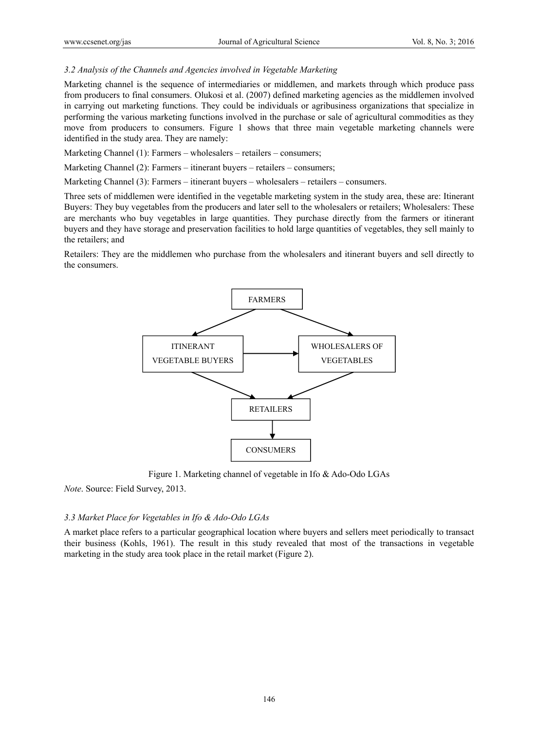# *3.2 Analysis of the Channels and Agencies involved in Vegetable Marketing*

Marketing channel is the sequence of intermediaries or middlemen, and markets through which produce pass from producers to final consumers. Olukosi et al. (2007) defined marketing agencies as the middlemen involved in carrying out marketing functions. They could be individuals or agribusiness organizations that specialize in performing the various marketing functions involved in the purchase or sale of agricultural commodities as they move from producers to consumers. Figure 1 shows that three main vegetable marketing channels were identified in the study area. They are namely:

Marketing Channel (1): Farmers – wholesalers – retailers – consumers;

Marketing Channel (2): Farmers – itinerant buyers – retailers – consumers;

Marketing Channel (3): Farmers – itinerant buyers – wholesalers – retailers – consumers.

Three sets of middlemen were identified in the vegetable marketing system in the study area, these are: Itinerant Buyers: They buy vegetables from the producers and later sell to the wholesalers or retailers; Wholesalers: These are merchants who buy vegetables in large quantities. They purchase directly from the farmers or itinerant buyers and they have storage and preservation facilities to hold large quantities of vegetables, they sell mainly to the retailers; and

Retailers: They are the middlemen who purchase from the wholesalers and itinerant buyers and sell directly to the consumers.



Figure 1. Marketing channel of vegetable in Ifo & Ado-Odo LGAs

*Note*. Source: Field Survey, 2013.

## *3.3 Market Place for Vegetables in Ifo & Ado-Odo LGAs*

A market place refers to a particular geographical location where buyers and sellers meet periodically to transact their business (Kohls, 1961). The result in this study revealed that most of the transactions in vegetable marketing in the study area took place in the retail market (Figure 2).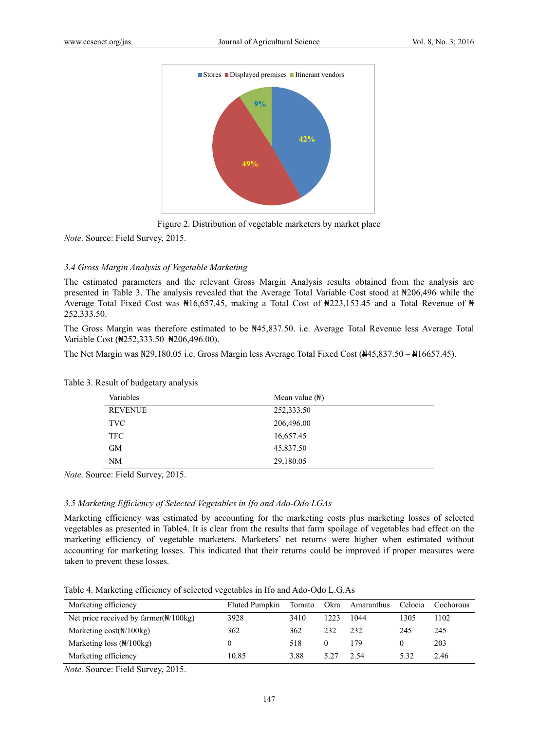



*Note*. Source: Field Survey, 2015.

# *3.4 Gross Margin Analysis of Vegetable Marketing*

The estimated parameters and the relevant Gross Margin Analysis results obtained from the analysis are presented in Table 3. The analysis revealed that the Average Total Variable Cost stood at ₦206,496 while the Average Total Fixed Cost was ₦16,657.45, making a Total Cost of ₦223,153.45 and a Total Revenue of ₦ 252,333.50.

The Gross Margin was therefore estimated to be ₦45,837.50. i.e. Average Total Revenue less Average Total Variable Cost (₦252,333.50–₦206,496.00).

The Net Margin was ₦29,180.05 i.e. Gross Margin less Average Total Fixed Cost (₦45,837.50 – ₦16657.45).

| Variables      | Mean value $(\mathbb{H})$ |  |
|----------------|---------------------------|--|
| <b>REVENUE</b> | 252,333.50                |  |
| <b>TVC</b>     | 206,496.00                |  |
| TFC.           | 16,657.45                 |  |
| <b>GM</b>      | 45,837.50                 |  |
| NM             | 29,180.05                 |  |

Table 3. Result of budgetary analysis

*Note*. Source: Field Survey, 2015.

## *3.5 Marketing Efficiency of Selected Vegetables in Ifo and Ado-Odo LGAs*

Marketing efficiency was estimated by accounting for the marketing costs plus marketing losses of selected vegetables as presented in Table4. It is clear from the results that farm spoilage of vegetables had effect on the marketing efficiency of vegetable marketers. Marketers' net returns were higher when estimated without accounting for marketing losses. This indicated that their returns could be improved if proper measures were taken to prevent these losses.

Table 4. Marketing efficiency of selected vegetables in Ifo and Ado-Odo L.G.As

| Marketing efficiency                             | Fluted Pumpkin | Tomato | Okra | Amaranthus | Celocia  | Cochorous |
|--------------------------------------------------|----------------|--------|------|------------|----------|-----------|
| Net price received by farmer $(\frac{N}{100kg})$ | 3928           | 3410   | 1223 | 1044       | 1305     | 1102      |
| Marketing $cost(\mathbb{N}/100 \text{kg})$       | 362            | 362    | 232  | 232        | 245      | 245       |
| Marketing loss $(\frac{N}{100kg})$               |                | 518    |      | 179.       | $\theta$ | 203       |
| Marketing efficiency                             | 10.85          | 3.88   | 5.27 | 2.54       | 532      | 2.46      |

*Note*. Source: Field Survey, 2015.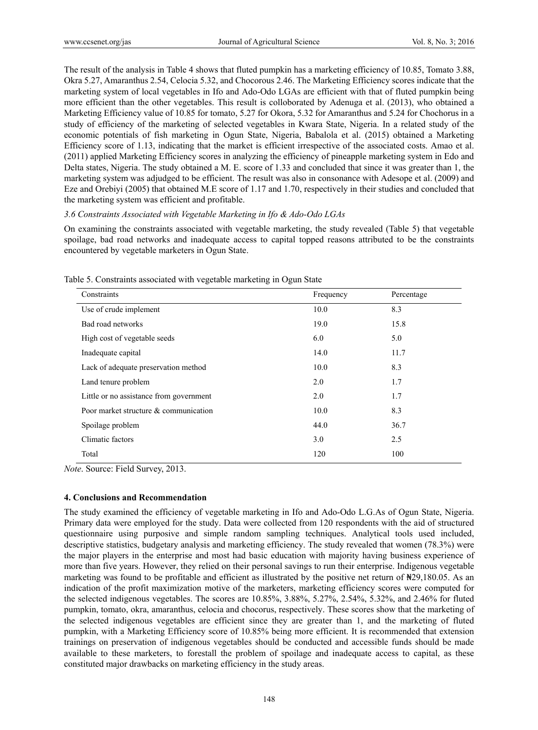The result of the analysis in Table 4 shows that fluted pumpkin has a marketing efficiency of 10.85, Tomato 3.88, Okra 5.27, Amaranthus 2.54, Celocia 5.32, and Chocorous 2.46. The Marketing Efficiency scores indicate that the marketing system of local vegetables in Ifo and Ado-Odo LGAs are efficient with that of fluted pumpkin being more efficient than the other vegetables. This result is colloborated by Adenuga et al. (2013), who obtained a Marketing Efficiency value of 10.85 for tomato, 5.27 for Okora, 5.32 for Amaranthus and 5.24 for Chochorus in a study of efficiency of the marketing of selected vegetables in Kwara State, Nigeria. In a related study of the economic potentials of fish marketing in Ogun State, Nigeria, Babalola et al. (2015) obtained a Marketing Efficiency score of 1.13, indicating that the market is efficient irrespective of the associated costs. Amao et al. (2011) applied Marketing Efficiency scores in analyzing the efficiency of pineapple marketing system in Edo and Delta states, Nigeria. The study obtained a M. E. score of 1.33 and concluded that since it was greater than 1, the marketing system was adjudged to be efficient. The result was also in consonance with Adesope et al. (2009) and Eze and Orebiyi (2005) that obtained M.E score of 1.17 and 1.70, respectively in their studies and concluded that the marketing system was efficient and profitable.

# *3.6 Constraints Associated with Vegetable Marketing in Ifo & Ado-Odo LGAs*

On examining the constraints associated with vegetable marketing, the study revealed (Table 5) that vegetable spoilage, bad road networks and inadequate access to capital topped reasons attributed to be the constraints encountered by vegetable marketers in Ogun State.

| Constraints                             | Frequency | Percentage |
|-----------------------------------------|-----------|------------|
| Use of crude implement                  | 10.0      | 8.3        |
| Bad road networks                       | 19.0      | 15.8       |
| High cost of vegetable seeds            | 6.0       | 5.0        |
| Inadequate capital                      | 14.0      | 11.7       |
| Lack of adequate preservation method    | 10.0      | 8.3        |
| Land tenure problem                     | 2.0       | 1.7        |
| Little or no assistance from government | 2.0       | 1.7        |
| Poor market structure & communication   | 10.0      | 8.3        |
| Spoilage problem                        | 44.0      | 36.7       |
| Climatic factors                        | 3.0       | 2.5        |
| Total                                   | 120       | 100        |

Table 5. Constraints associated with vegetable marketing in Ogun State

*Note*. Source: Field Survey, 2013.

## **4. Conclusions and Recommendation**

The study examined the efficiency of vegetable marketing in Ifo and Ado-Odo L.G.As of Ogun State, Nigeria. Primary data were employed for the study. Data were collected from 120 respondents with the aid of structured questionnaire using purposive and simple random sampling techniques. Analytical tools used included, descriptive statistics, budgetary analysis and marketing efficiency. The study revealed that women (78.3%) were the major players in the enterprise and most had basic education with majority having business experience of more than five years. However, they relied on their personal savings to run their enterprise. Indigenous vegetable marketing was found to be profitable and efficient as illustrated by the positive net return of  $\mathbb{N}29,180.05$ . As an indication of the profit maximization motive of the marketers, marketing efficiency scores were computed for the selected indigenous vegetables. The scores are 10.85%, 3.88%, 5.27%, 2.54%, 5.32%, and 2.46% for fluted pumpkin, tomato, okra, amaranthus, celocia and chocorus, respectively. These scores show that the marketing of the selected indigenous vegetables are efficient since they are greater than 1, and the marketing of fluted pumpkin, with a Marketing Efficiency score of 10.85% being more efficient. It is recommended that extension trainings on preservation of indigenous vegetables should be conducted and accessible funds should be made available to these marketers, to forestall the problem of spoilage and inadequate access to capital, as these constituted major drawbacks on marketing efficiency in the study areas.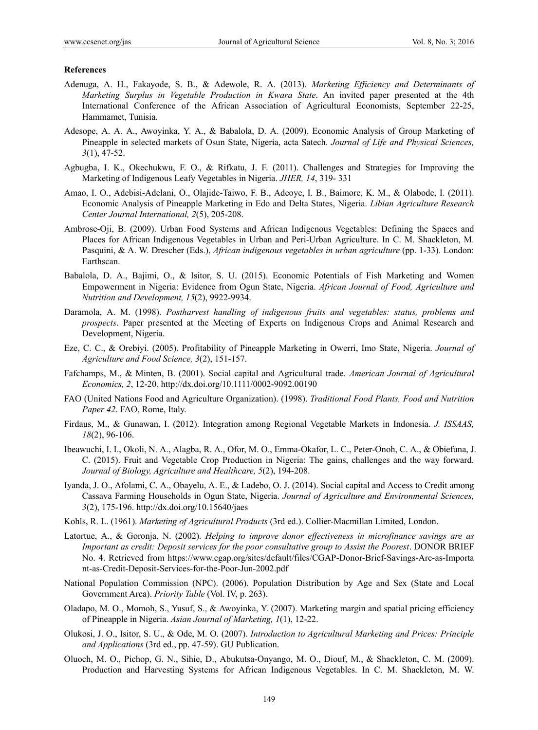#### **References**

- Adenuga, A. H., Fakayode, S. B., & Adewole, R. A. (2013). *Marketing Efficiency and Determinants of Marketing Surplus in Vegetable Production in Kwara State*. An invited paper presented at the 4th International Conference of the African Association of Agricultural Economists, September 22-25, Hammamet, Tunisia.
- Adesope, A. A. A., Awoyinka, Y. A., & Babalola, D. A. (2009). Economic Analysis of Group Marketing of Pineapple in selected markets of Osun State, Nigeria, acta Satech. *Journal of Life and Physical Sciences, 3*(1), 47-52.
- Agbugba, I. K., Okechukwu, F. O., & Rifkatu, J. F. (2011). Challenges and Strategies for Improving the Marketing of Indigenous Leafy Vegetables in Nigeria. *JHER, 14*, 319- 331
- Amao, I. O., Adebisi-Adelani, O., Olajide-Taiwo, F. B., Adeoye, I. B., Baimore, K. M., & Olabode, I. (2011). Economic Analysis of Pineapple Marketing in Edo and Delta States, Nigeria. *Libian Agriculture Research Center Journal International, 2*(5), 205-208.
- Ambrose-Oji, B. (2009). Urban Food Systems and African Indigenous Vegetables: Defining the Spaces and Places for African Indigenous Vegetables in Urban and Peri-Urban Agriculture. In C. M. Shackleton, M. Pasquini, & A. W. Drescher (Eds.), *African indigenous vegetables in urban agriculture* (pp. 1-33). London: Earthscan.
- Babalola, D. A., Bajimi, O., & Isitor, S. U. (2015). Economic Potentials of Fish Marketing and Women Empowerment in Nigeria: Evidence from Ogun State, Nigeria. *African Journal of Food, Agriculture and Nutrition and Development, 15*(2), 9922-9934.
- Daramola, A. M. (1998). *Postharvest handling of indigenous fruits and vegetables: status, problems and prospects*. Paper presented at the Meeting of Experts on Indigenous Crops and Animal Research and Development, Nigeria.
- Eze, C. C., & Orebiyi. (2005). Profitability of Pineapple Marketing in Owerri, Imo State, Nigeria. *Journal of Agriculture and Food Science, 3*(2), 151-157.
- Fafchamps, M., & Minten, B. (2001). Social capital and Agricultural trade. *American Journal of Agricultural Economics, 2*, 12-20. http://dx.doi.org/10.1111/0002-9092.00190
- FAO (United Nations Food and Agriculture Organization). (1998). *Traditional Food Plants, Food and Nutrition Paper 42*. FAO, Rome, Italy.
- Firdaus, M., & Gunawan, I. (2012). Integration among Regional Vegetable Markets in Indonesia. *J. ISSAAS, 18*(2), 96-106.
- Ibeawuchi, I. I., Okoli, N. A., Alagba, R. A., Ofor, M. O., Emma-Okafor, L. C., Peter-Onoh, C. A., & Obiefuna, J. C. (2015). Fruit and Vegetable Crop Production in Nigeria: The gains, challenges and the way forward. *Journal of Biology, Agriculture and Healthcare, 5*(2), 194-208.
- Iyanda, J. O., Afolami, C. A., Obayelu, A. E., & Ladebo, O. J. (2014). Social capital and Access to Credit among Cassava Farming Households in Ogun State, Nigeria. *Journal of Agriculture and Environmental Sciences, 3*(2), 175-196. http://dx.doi.org/10.15640/jaes
- Kohls, R. L. (1961). *Marketing of Agricultural Products* (3rd ed.). Collier-Macmillan Limited, London.
- Latortue, A., & Goronja, N. (2002). *Helping to improve donor effectiveness in microfinance savings are as Important as credit: Deposit services for the poor consultative group to Assist the Poorest*. DONOR BRIEF No. 4. Retrieved from https://www.cgap.org/sites/default/files/CGAP-Donor-Brief-Savings-Are-as-Importa nt-as-Credit-Deposit-Services-for-the-Poor-Jun-2002.pdf
- National Population Commission (NPC). (2006). Population Distribution by Age and Sex (State and Local Government Area). *Priority Table* (Vol. IV, p. 263).
- Oladapo, M. O., Momoh, S., Yusuf, S., & Awoyinka, Y. (2007). Marketing margin and spatial pricing efficiency of Pineapple in Nigeria. *Asian Journal of Marketing, 1*(1), 12-22.
- Olukosi, J. O., Isitor, S. U., & Ode, M. O. (2007). *Introduction to Agricultural Marketing and Prices: Principle and Applications* (3rd ed., pp. 47-59). GU Publication.
- Oluoch, M. O., Pichop, G. N., Sihie, D., Abukutsa-Onyango, M. O., Diouf, M., & Shackleton, C. M. (2009). Production and Harvesting Systems for African Indigenous Vegetables. In C. M. Shackleton, M. W.